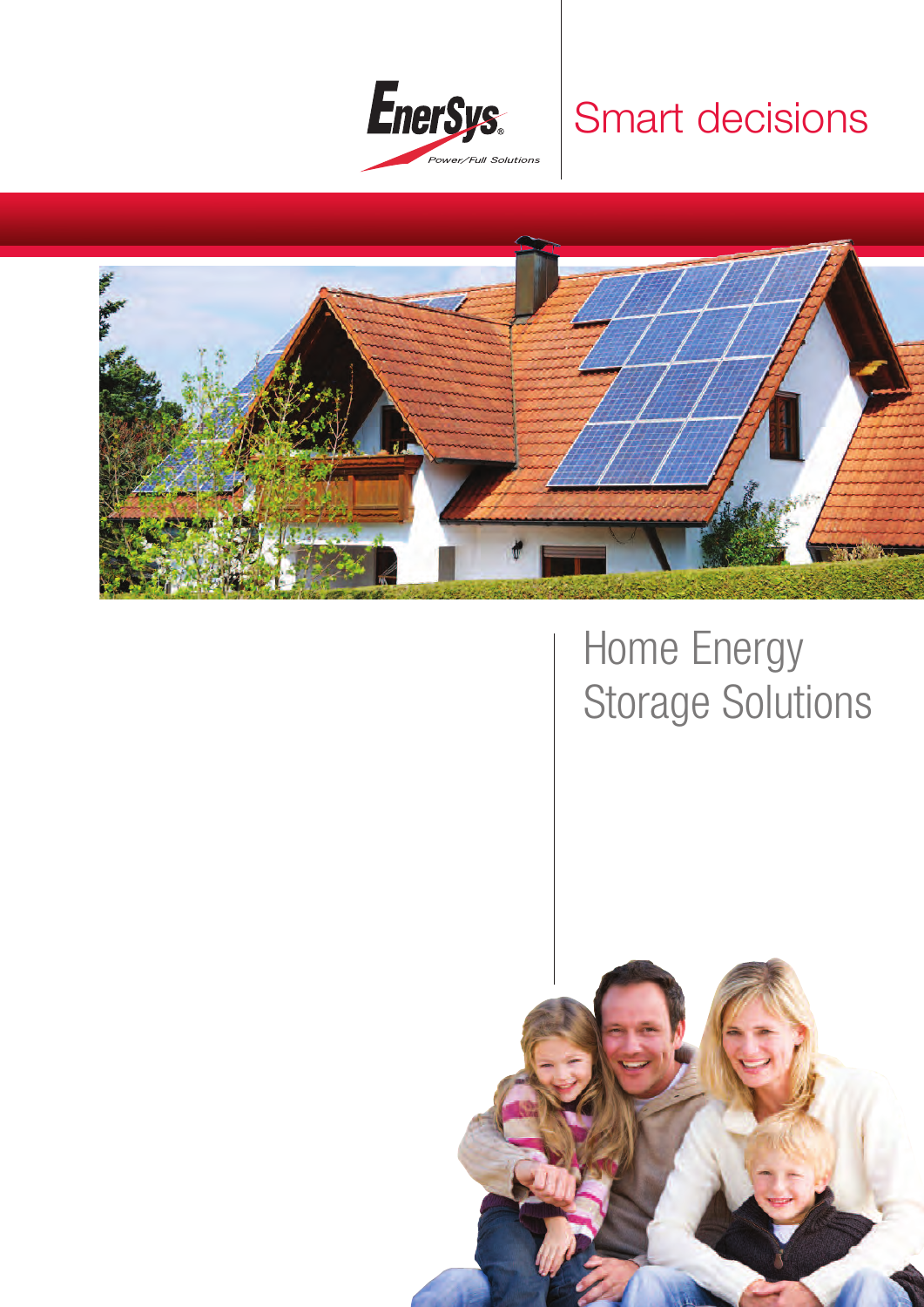

## Smart decisions



# Home Energy Storage Solutions

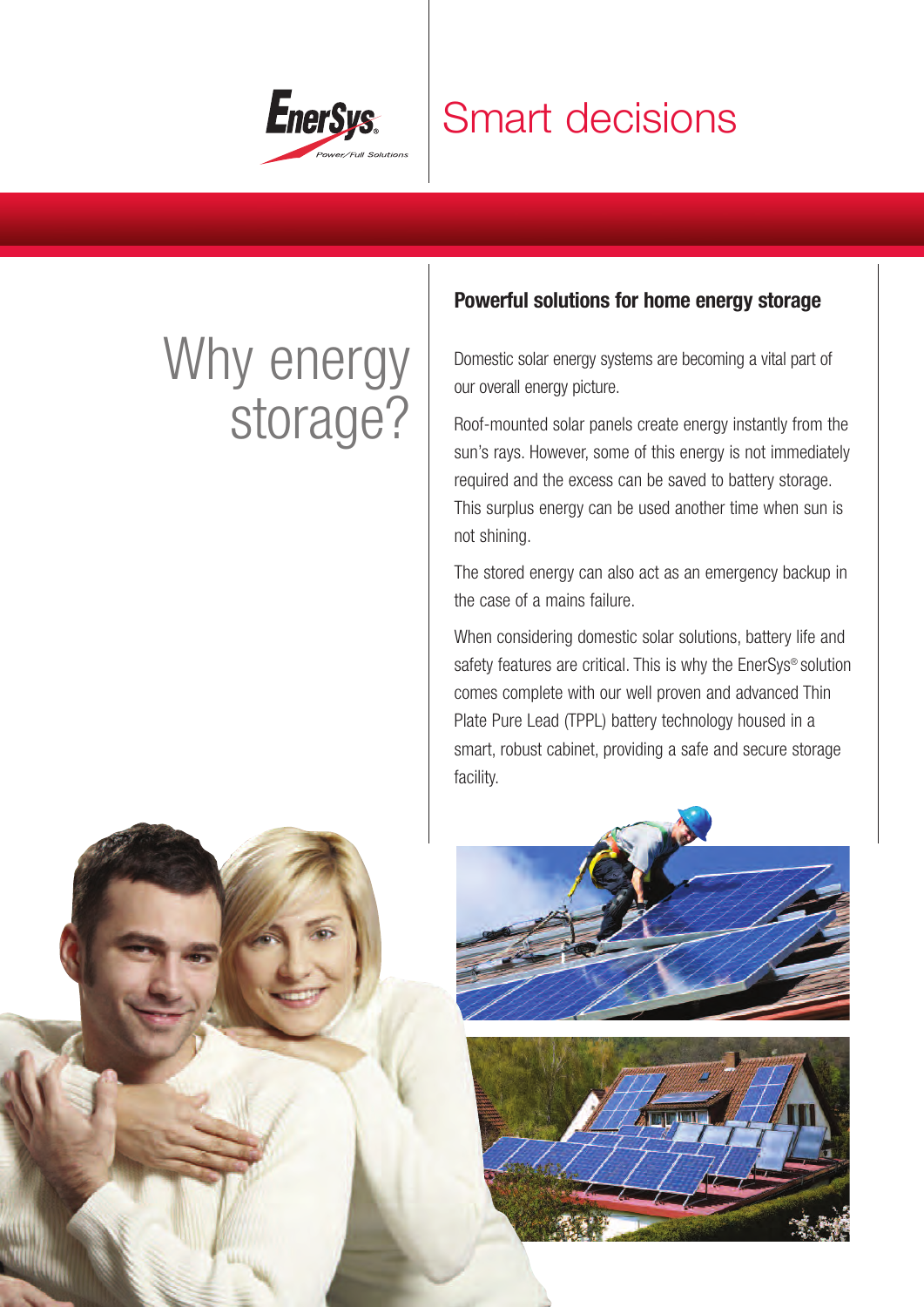

## Smart decisions

# Why energy storage?

## **Powerful solutions for home energy storage**

Domestic solar energy systems are becoming a vital part of our overall energy picture.

Roof-mounted solar panels create energy instantly from the sun's rays. However, some of this energy is not immediately required and the excess can be saved to battery storage. This surplus energy can be used another time when sun is not shining.

The stored energy can also act as an emergency backup in the case of a mains failure.

When considering domestic solar solutions, battery life and safety features are critical. This is why the EnerSys® solution comes complete with our well proven and advanced Thin Plate Pure Lead (TPPL) battery technology housed in a smart, robust cabinet, providing a safe and secure storage facility.





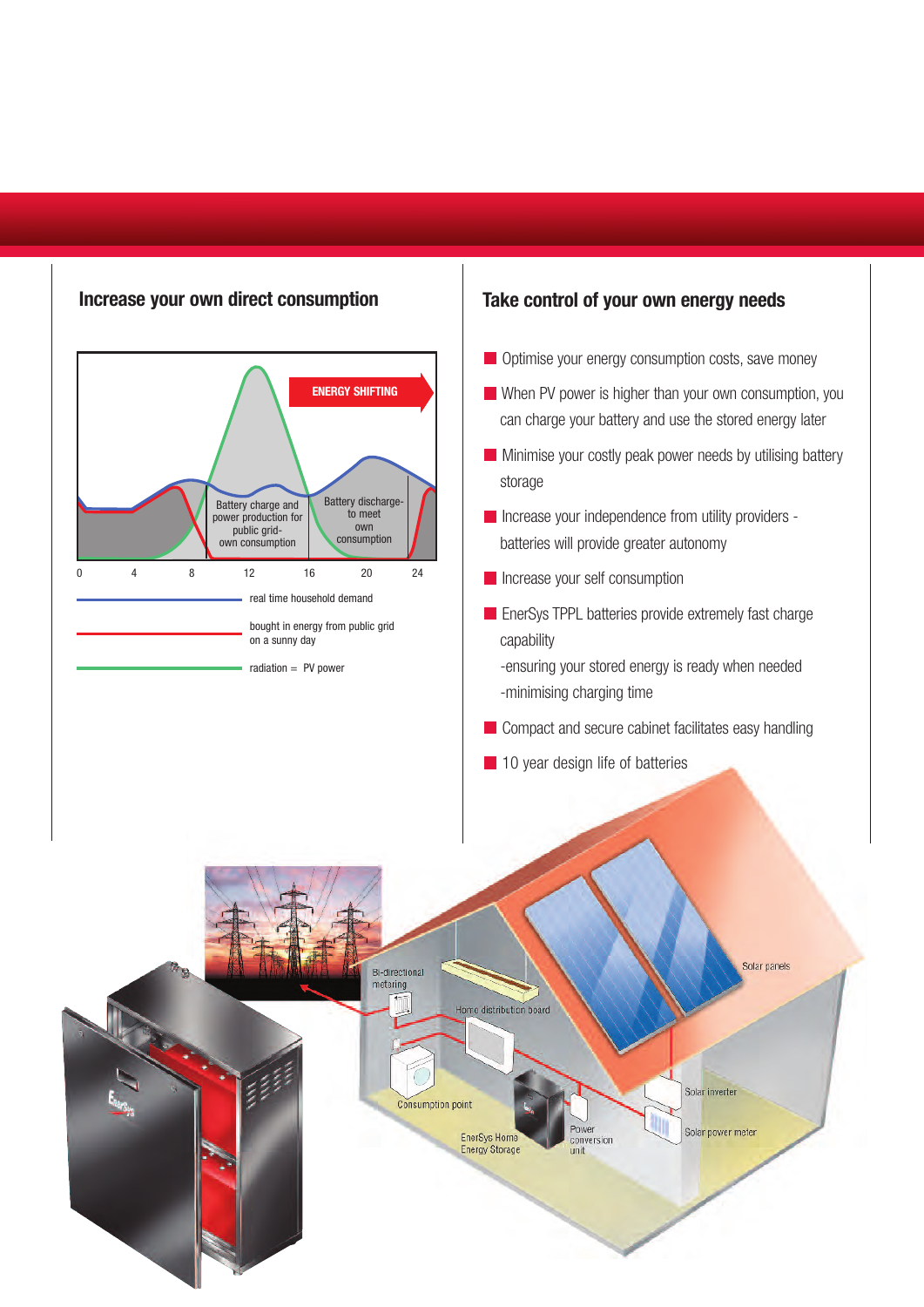